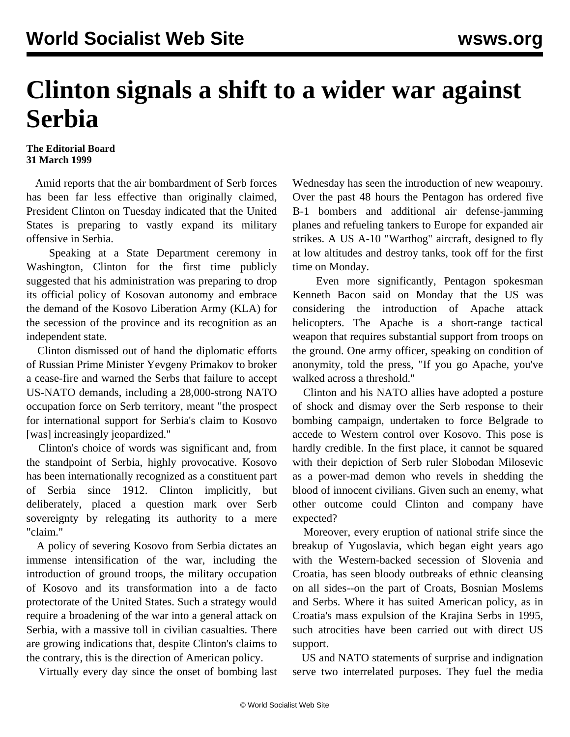## **Clinton signals a shift to a wider war against Serbia**

**The Editorial Board 31 March 1999**

 Amid reports that the air bombardment of Serb forces has been far less effective than originally claimed, President Clinton on Tuesday indicated that the United States is preparing to vastly expand its military offensive in Serbia.

 Speaking at a State Department ceremony in Washington, Clinton for the first time publicly suggested that his administration was preparing to drop its official policy of Kosovan autonomy and embrace the demand of the Kosovo Liberation Army (KLA) for the secession of the province and its recognition as an independent state.

 Clinton dismissed out of hand the diplomatic efforts of Russian Prime Minister Yevgeny Primakov to broker a cease-fire and warned the Serbs that failure to accept US-NATO demands, including a 28,000-strong NATO occupation force on Serb territory, meant "the prospect for international support for Serbia's claim to Kosovo [was] increasingly jeopardized."

 Clinton's choice of words was significant and, from the standpoint of Serbia, highly provocative. Kosovo has been internationally recognized as a constituent part of Serbia since 1912. Clinton implicitly, but deliberately, placed a question mark over Serb sovereignty by relegating its authority to a mere "claim."

 A policy of severing Kosovo from Serbia dictates an immense intensification of the war, including the introduction of ground troops, the military occupation of Kosovo and its transformation into a de facto protectorate of the United States. Such a strategy would require a broadening of the war into a general attack on Serbia, with a massive toll in civilian casualties. There are growing indications that, despite Clinton's claims to the contrary, this is the direction of American policy.

Virtually every day since the onset of bombing last

Wednesday has seen the introduction of new weaponry. Over the past 48 hours the Pentagon has ordered five B-1 bombers and additional air defense-jamming planes and refueling tankers to Europe for expanded air strikes. A US A-10 "Warthog" aircraft, designed to fly at low altitudes and destroy tanks, took off for the first time on Monday.

 Even more significantly, Pentagon spokesman Kenneth Bacon said on Monday that the US was considering the introduction of Apache attack helicopters. The Apache is a short-range tactical weapon that requires substantial support from troops on the ground. One army officer, speaking on condition of anonymity, told the press, "If you go Apache, you've walked across a threshold."

 Clinton and his NATO allies have adopted a posture of shock and dismay over the Serb response to their bombing campaign, undertaken to force Belgrade to accede to Western control over Kosovo. This pose is hardly credible. In the first place, it cannot be squared with their depiction of Serb ruler Slobodan Milosevic as a power-mad demon who revels in shedding the blood of innocent civilians. Given such an enemy, what other outcome could Clinton and company have expected?

 Moreover, every eruption of national strife since the breakup of Yugoslavia, which began eight years ago with the Western-backed secession of Slovenia and Croatia, has seen bloody outbreaks of ethnic cleansing on all sides--on the part of Croats, Bosnian Moslems and Serbs. Where it has suited American policy, as in Croatia's mass expulsion of the Krajina Serbs in 1995, such atrocities have been carried out with direct US support.

 US and NATO statements of surprise and indignation serve two interrelated purposes. They fuel the media